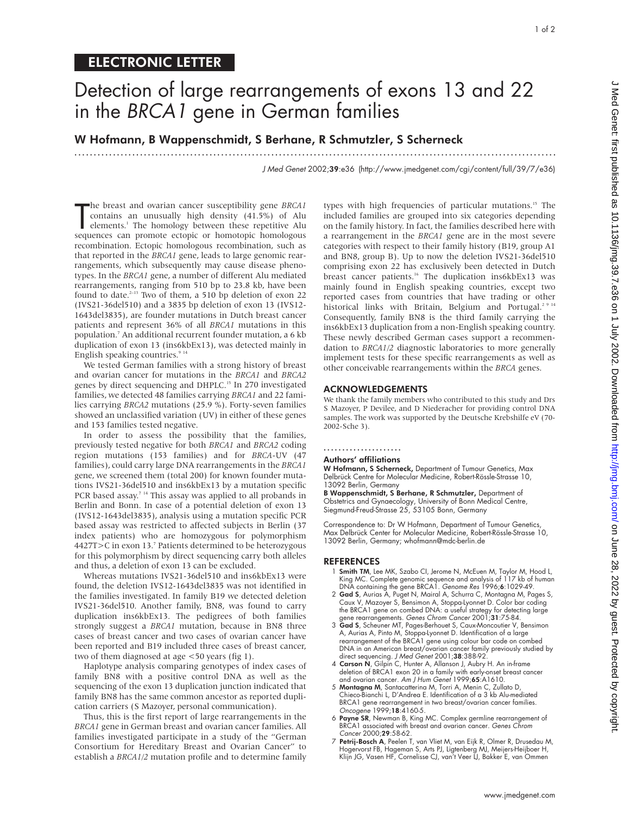## ELECTRONIC LETTER

# Detection of large rearrangements of exons 13 and 22 in the BRCA1 gene in German families

.............................................................................................................................

### W Hofmann, B Wappenschmidt, S Berhane, R Schmutzler, S Scherneck

J Med Genet 2002;39:e36 (http://www.jmedgenet.com/cgi/content/full/39/7/e36)

The breast and ovarian cancer susceptibility gene *BRCAI* contains an unusually high density (41.5%) of Alu elements.<sup>1</sup> The homology between these repetitive Alu sequences can promote ectopic or homotopic homologous he breast and ovarian cancer susceptibility gene *BRCA1* contains an unusually high density (41.5%) of Alu elements.<sup>1</sup> The homology between these repetitive Alu recombination. Ectopic homologous recombination, such as that reported in the *BRCA1* gene, leads to large genomic rearrangements, which subsequently may cause disease phenotypes. In the *BRCA1* gene, a number of different Alu mediated rearrangements, ranging from 510 bp to 23.8 kb, have been found to date. $2-13$  Two of them, a 510 bp deletion of exon 22 (IVS21-36del510) and a 3835 bp deletion of exon 13 (IVS12- 1643del3835), are founder mutations in Dutch breast cancer patients and represent 36% of all *BRCA1* mutations in this population.7 An additional recurrent founder mutation, a 6 kb duplication of exon 13 (ins6kbEx13), was detected mainly in English speaking countries.<sup>9 14</sup>

We tested German families with a strong history of breast and ovarian cancer for mutations in the *BRCA1* and *BRCA2* genes by direct sequencing and DHPLC.<sup>15</sup> In 270 investigated families, we detected 48 families carrying *BRCA1* and 22 families carrying *BRCA2* mutations (25.9 %). Forty-seven families showed an unclassified variation (UV) in either of these genes and 153 families tested negative.

In order to assess the possibility that the families, previously tested negative for both *BRCA1* and *BRCA2* coding region mutations (153 families) and for *BRCA*-UV (47 families), could carry large DNA rearrangements in the *BRCA1* gene, we screened them (total 200) for known founder mutations IVS21-36del510 and ins6kbEx13 by a mutation specific PCR based assay.<sup>7 14</sup> This assay was applied to all probands in Berlin and Bonn. In case of a potential deletion of exon 13 (IVS12-1643del3835), analysis using a mutation specific PCR based assay was restricted to affected subjects in Berlin (37 index patients) who are homozygous for polymorphism 4427T>C in exon 13.7 Patients determined to be heterozygous for this polymorphism by direct sequencing carry both alleles and thus, a deletion of exon 13 can be excluded.

Whereas mutations IVS21-36del510 and ins6kbEx13 were found, the deletion IVS12-1643del3835 was not identified in the families investigated. In family B19 we detected deletion IVS21-36del510. Another family, BN8, was found to carry duplication ins6kbEx13. The pedigrees of both families strongly suggest a *BRCA1* mutation, because in BN8 three cases of breast cancer and two cases of ovarian cancer have been reported and B19 included three cases of breast cancer, two of them diagnosed at age <50 years (fig 1).

Haplotype analysis comparing genotypes of index cases of family BN8 with a positive control DNA as well as the sequencing of the exon 13 duplication junction indicated that family BN8 has the same common ancestor as reported duplication carriers (S Mazoyer, personal communication).

Thus, this is the first report of large rearrangements in the *BRCA1* gene in German breast and ovarian cancer families. All families investigated participate in a study of the "German Consortium for Hereditary Breast and Ovarian Cancer" to establish a *BRCA1*/*2* mutation profile and to determine family types with high frequencies of particular mutations.<sup>15</sup> The included families are grouped into six categories depending on the family history. In fact, the families described here with a rearrangement in the *BRCA1* gene are in the most severe categories with respect to their family history (B19, group A1 and BN8, group B). Up to now the deletion IVS21-36del510 comprising exon 22 has exclusively been detected in Dutch breast cancer patients.<sup>16</sup> The duplication ins6kbEx13 was mainly found in English speaking countries, except two reported cases from countries that have trading or other historical links with Britain, Belgium and Portugal.<sup>2 9 14</sup> Consequently, family BN8 is the third family carrying the ins6kbEx13 duplication from a non-English speaking country. These newly described German cases support a recommendation to *BRCA1*/*2* diagnostic laboratories to more generally implement tests for these specific rearrangements as well as other conceivable rearrangements within the *BRCA* genes.

#### ACKNOWLEDGEMENTS

We thank the family members who contributed to this study and Drs S Mazoyer, P Devilee, and D Niederacher for providing control DNA samples. The work was supported by the Deutsche Krebshilfe eV (70- 2002-Sche 3).

#### .....................

#### Authors' affiliations

W Hofmann, S Scherneck, Department of Tumour Genetics, Max Delbrück Centre for Molecular Medicine, Robert-Rössle-Strasse 10, 13092 Berlin, Germany

B Wappenschmidt, S Berhane, R Schmutzler, Department of Obstetrics and Gynaecology, University of Bonn Medical Centre, Siegmund-Freud-Strasse 25, 53105 Bonn, Germany

Correspondence to: Dr W Hofmann, Department of Tumour Genetics, Max Delbrück Center for Molecular Medicine, Robert-Rössle-Strasse 10, 13092 Berlin, Germany; whofmann@mdc-berlin.de

#### REFERENCES

- Smith TM, Lee MK, Szabo CI, Jerome N, McEuen M, Taylor M, Hood L, King MC. Complete genomic sequence and analysis of 117 kb of human DNA containing the gene BRCA1. Genome Res 1996;6:1029-49.
- 2 Gad S, Aurias A, Puget N, Mairal A, Schurra C, Montagna M, Pages S, Caux V, Mazoyer S, Bensimon A, Stoppa-Lyonnet D. Color bar coding
- the BRCA1 gene on combed DNA: a useful strategy for detecting large<br>gene rearrangements. Genes Chrom Cancer 2001;31:75-84.<br>**3 Gad S**, Scheuner MT, Pages-Berhouet S, Caux-Moncoutier V, Bensimon<br>A, Aurias A, Pinto M, Stopparearrangement of the BRCA1 gene using colour bar code on combed DNA in an American breast/ovarian cancer family previously studied by direct sequencing. J Med Genet 2001;38:388-92.
- 4 Carson N, Gilpin C, Hunter A, Allanson J, Aubry H. An in-frame deletion of BRCA1 exon 20 in a family with early-onset breast cancer and ovarian cancer. Am J Hum Genet 1999;65:A1610.
- 5 Montagna M, Santacatterina M, Torri A, Menin C, Zullato D, Chieco-Bianchi L, D'Andrea E. Identification of a 3 kb Alu-mediated BRCA1 gene rearrangement in two breast/ovarian cancer families. Oncogene 1999;18:4160-5.
- 6 Payne SR, Newman B, King MC. Complex germline rearrangement of BRCA1 associated with breast and ovarian cancer. Genes Chrom Cancer 2000;29:58-62.
- 7 Petrij-Bosch A, Peelen T, van Vliet M, van Eijk R, Olmer R, Drusedau M, Hogervorst FB, Hageman S, Arts PJ, Ligtenberg MJ, Meijers-Heijboer H, Klijn JG, Vasen HF, Cornelisse CJ, van't Veer LJ, Bakker E, van Ommen